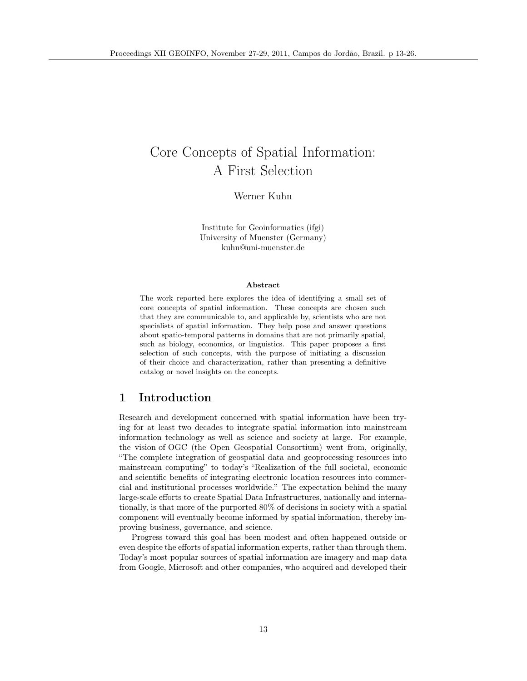# Core Concepts of Spatial Information: A First Selection

Werner Kuhn

Institute for Geoinformatics (ifgi) University of Muenster (Germany) kuhn@uni-muenster.de

#### Abstract

The work reported here explores the idea of identifying a small set of core concepts of spatial information. These concepts are chosen such that they are communicable to, and applicable by, scientists who are not specialists of spatial information. They help pose and answer questions about spatio-temporal patterns in domains that are not primarily spatial, such as biology, economics, or linguistics. This paper proposes a first selection of such concepts, with the purpose of initiating a discussion of their choice and characterization, rather than presenting a definitive catalog or novel insights on the concepts.

### 1 Introduction

Research and development concerned with spatial information have been trying for at least two decades to integrate spatial information into mainstream information technology as well as science and society at large. For example, the vision of OGC (the Open Geospatial Consortium) went from, originally, "The complete integration of geospatial data and geoprocessing resources into mainstream computing" to today's "Realization of the full societal, economic and scientific benefits of integrating electronic location resources into commercial and institutional processes worldwide." The expectation behind the many large-scale efforts to create Spatial Data Infrastructures, nationally and internationally, is that more of the purported 80% of decisions in society with a spatial component will eventually become informed by spatial information, thereby improving business, governance, and science.

Progress toward this goal has been modest and often happened outside or even despite the efforts of spatial information experts, rather than through them. Today's most popular sources of spatial information are imagery and map data from Google, Microsoft and other companies, who acquired and developed their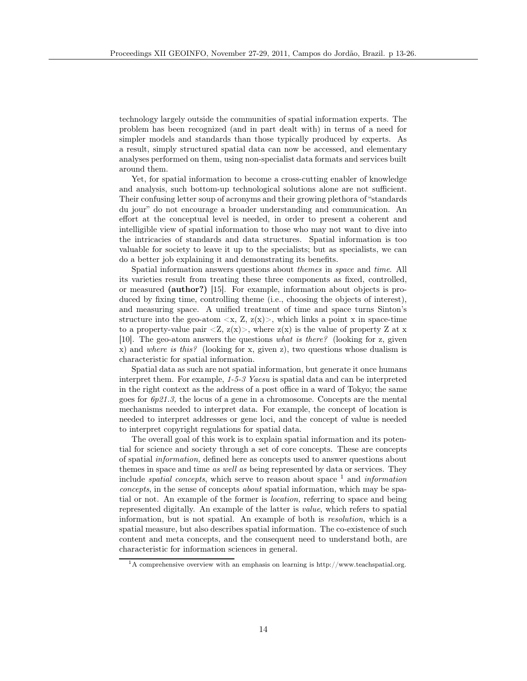technology largely outside the communities of spatial information experts. The problem has been recognized (and in part dealt with) in terms of a need for simpler models and standards than those typically produced by experts. As a result, simply structured spatial data can now be accessed, and elementary analyses performed on them, using non-specialist data formats and services built around them.

Yet, for spatial information to become a cross-cutting enabler of knowledge and analysis, such bottom-up technological solutions alone are not sufficient. Their confusing letter soup of acronyms and their growing plethora of "standards du jour" do not encourage a broader understanding and communication. An effort at the conceptual level is needed, in order to present a coherent and intelligible view of spatial information to those who may not want to dive into the intricacies of standards and data structures. Spatial information is too valuable for society to leave it up to the specialists; but as specialists, we can do a better job explaining it and demonstrating its benefits.

Spatial information answers questions about *themes* in *space* and *time*. All its varieties result from treating these three components as fixed, controlled, or measured (author?) [15]. For example, information about objects is produced by fixing time, controlling theme (i.e., choosing the objects of interest), and measuring space. A unified treatment of time and space turns Sinton's structure into the geo-atom  $\langle x, Z, z(x) \rangle$ , which links a point x in space-time to a property-value pair  $\langle Z, z(x) \rangle$ , where  $z(x)$  is the value of property Z at x [10]. The geo-atom answers the questions *what is there?* (looking for z, given x) and *where is this?* (looking for x, given z), two questions whose dualism is characteristic for spatial information.

Spatial data as such are not spatial information, but generate it once humans interpret them. For example, *1-5-3 Yaesu* is spatial data and can be interpreted in the right context as the address of a post office in a ward of Tokyo; the same goes for *6p21.3,* the locus of a gene in a chromosome. Concepts are the mental mechanisms needed to interpret data. For example, the concept of location is needed to interpret addresses or gene loci, and the concept of value is needed to interpret copyright regulations for spatial data.

The overall goal of this work is to explain spatial information and its potential for science and society through a set of core concepts. These are concepts of spatial *information,* defined here as concepts used to answer questions about themes in space and time *as well as* being represented by data or services. They include *spatial concepts*, which serve to reason about space <sup>1</sup> and *information concepts*, in the sense of concepts *about* spatial information, which may be spatial or not. An example of the former is *location,* referring to space and being represented digitally. An example of the latter is *value*, which refers to spatial information, but is not spatial. An example of both is *resolution*, which is a spatial measure, but also describes spatial information. The co-existence of such content and meta concepts, and the consequent need to understand both, are characteristic for information sciences in general.

 $1A$  comprehensive overview with an emphasis on learning is http://www.teachspatial.org.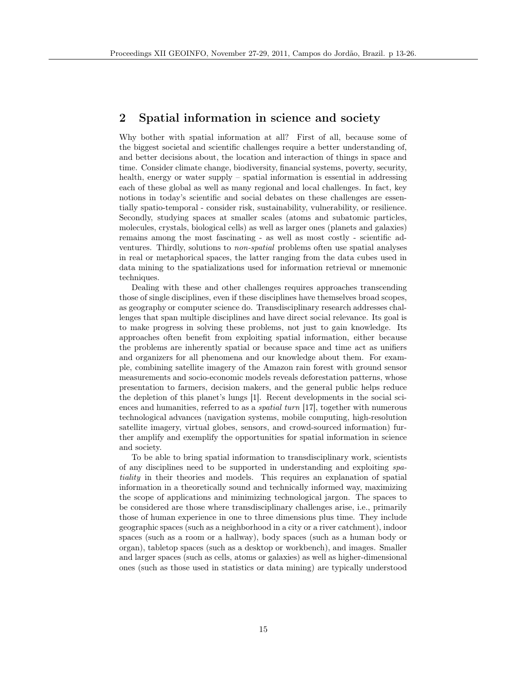### 2 Spatial information in science and society

Why bother with spatial information at all? First of all, because some of the biggest societal and scientific challenges require a better understanding of, and better decisions about, the location and interaction of things in space and time. Consider climate change, biodiversity, financial systems, poverty, security, health, energy or water supply – spatial information is essential in addressing each of these global as well as many regional and local challenges. In fact, key notions in today's scientific and social debates on these challenges are essentially spatio-temporal - consider risk, sustainability, vulnerability, or resilience. Secondly, studying spaces at smaller scales (atoms and subatomic particles, molecules, crystals, biological cells) as well as larger ones (planets and galaxies) remains among the most fascinating - as well as most costly - scientific adventures. Thirdly, solutions to *non-spatial* problems often use spatial analyses in real or metaphorical spaces, the latter ranging from the data cubes used in data mining to the spatializations used for information retrieval or mnemonic techniques.

Dealing with these and other challenges requires approaches transcending those of single disciplines, even if these disciplines have themselves broad scopes, as geography or computer science do. Transdisciplinary research addresses challenges that span multiple disciplines and have direct social relevance. Its goal is to make progress in solving these problems, not just to gain knowledge. Its approaches often benefit from exploiting spatial information, either because the problems are inherently spatial or because space and time act as unifiers and organizers for all phenomena and our knowledge about them. For example, combining satellite imagery of the Amazon rain forest with ground sensor measurements and socio-economic models reveals deforestation patterns, whose presentation to farmers, decision makers, and the general public helps reduce the depletion of this planet's lungs [1]. Recent developments in the social sciences and humanities, referred to as a *spatial turn* [17], together with numerous technological advances (navigation systems, mobile computing, high-resolution satellite imagery, virtual globes, sensors, and crowd-sourced information) further amplify and exemplify the opportunities for spatial information in science and society.

To be able to bring spatial information to transdisciplinary work, scientists of any disciplines need to be supported in understanding and exploiting *spatiality* in their theories and models. This requires an explanation of spatial information in a theoretically sound and technically informed way, maximizing the scope of applications and minimizing technological jargon. The spaces to be considered are those where transdisciplinary challenges arise, i.e., primarily those of human experience in one to three dimensions plus time. They include geographic spaces (such as a neighborhood in a city or a river catchment), indoor spaces (such as a room or a hallway), body spaces (such as a human body or organ), tabletop spaces (such as a desktop or workbench), and images. Smaller and larger spaces (such as cells, atoms or galaxies) as well as higher-dimensional ones (such as those used in statistics or data mining) are typically understood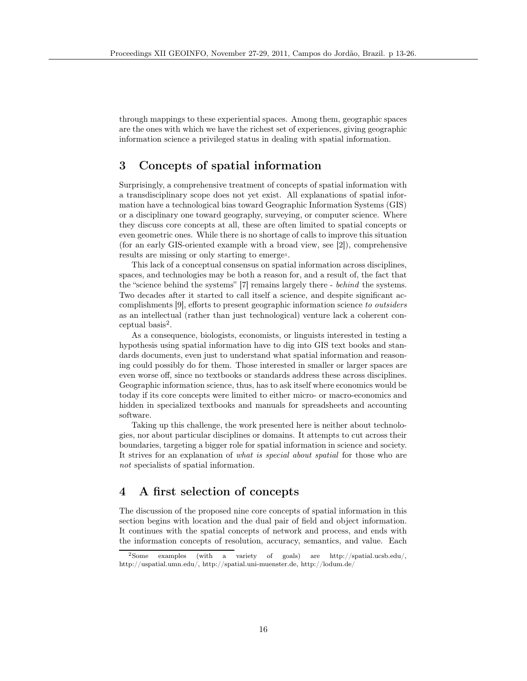through mappings to these experiential spaces. Among them, geographic spaces are the ones with which we have the richest set of experiences, giving geographic information science a privileged status in dealing with spatial information.

### 3 Concepts of spatial information

Surprisingly, a comprehensive treatment of concepts of spatial information with a transdisciplinary scope does not yet exist. All explanations of spatial information have a technological bias toward Geographic Information Systems (GIS) or a disciplinary one toward geography, surveying, or computer science. Where they discuss core concepts at all, these are often limited to spatial concepts or even geometric ones. While there is no shortage of calls to improve this situation (for an early GIS-oriented example with a broad view, see [2]), comprehensive results are missing or only starting to emerge1.

This lack of a conceptual consensus on spatial information across disciplines, spaces, and technologies may be both a reason for, and a result of, the fact that the "science behind the systems" [7] remains largely there - *behind* the systems. Two decades after it started to call itself a science, and despite significant accomplishments [9], efforts to present geographic information science *to outsiders* as an intellectual (rather than just technological) venture lack a coherent con $ceptual basis<sup>2</sup>.$ 

As a consequence, biologists, economists, or linguists interested in testing a hypothesis using spatial information have to dig into GIS text books and standards documents, even just to understand what spatial information and reasoning could possibly do for them. Those interested in smaller or larger spaces are even worse off, since no textbooks or standards address these across disciplines. Geographic information science, thus, has to ask itself where economics would be today if its core concepts were limited to either micro- or macro-economics and hidden in specialized textbooks and manuals for spreadsheets and accounting software.

Taking up this challenge, the work presented here is neither about technologies, nor about particular disciplines or domains. It attempts to cut across their boundaries, targeting a bigger role for spatial information in science and society. It strives for an explanation of *what is special about spatial* for those who are *not* specialists of spatial information.

## 4 A first selection of concepts

The discussion of the proposed nine core concepts of spatial information in this section begins with location and the dual pair of field and object information. It continues with the spatial concepts of network and process, and ends with the information concepts of resolution, accuracy, semantics, and value. Each

<sup>2</sup>Some examples (with a variety of goals) are http://spatial.ucsb.edu/, http://uspatial.umn.edu/, http://spatial.uni-muenster.de, http://lodum.de/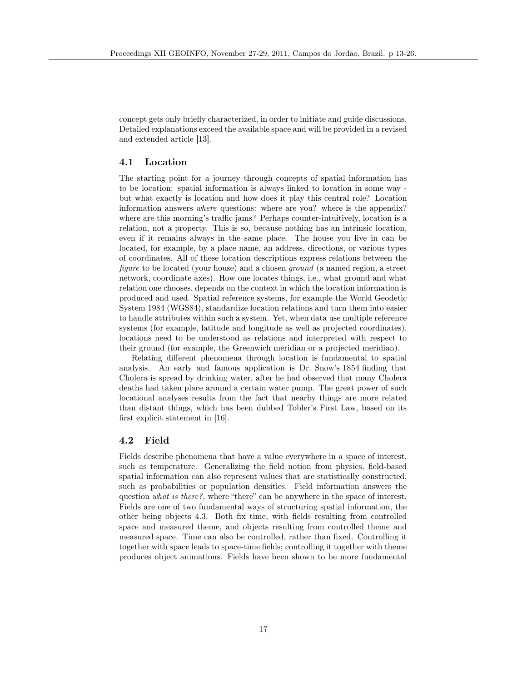concept gets only briefly characterized, in order to initiate and guide discussions. Detailed explanations exceed the available space and will be provided in a revised and extended article [13].

#### 4.1 Location

The starting point for a journey through concepts of spatial information has to be location: spatial information is always linked to location in some way but what exactly is location and how does it play this central role? Location information answers *where* questions: where are you? where is the appendix? where are this morning's traffic jams? Perhaps counter-intuitively, location is a relation, not a property. This is so, because nothing has an intrinsic location, even if it remains always in the same place. The house you live in can be located, for example, by a place name, an address, directions, or various types of coordinates. All of these location descriptions express relations between the *figure* to be located (your house) and a chosen *ground* (a named region, a street network, coordinate axes). How one locates things, i.e., what ground and what relation one chooses, depends on the context in which the location information is produced and used. Spatial reference systems, for example the World Geodetic System 1984 (WGS84), standardize location relations and turn them into easier to handle attributes within such a system. Yet, when data use multiple reference systems (for example, latitude and longitude as well as projected coordinates), locations need to be understood as relations and interpreted with respect to their ground (for example, the Greenwich meridian or a projected meridian).

Relating different phenomena through location is fundamental to spatial analysis. An early and famous application is Dr. Snow's 1854 finding that Cholera is spread by drinking water, after he had observed that many Cholera deaths had taken place around a certain water pump. The great power of such locational analyses results from the fact that nearby things are more related than distant things, which has been dubbed Tobler's First Law, based on its first explicit statement in [16].

#### 4.2 Field

Fields describe phenomena that have a value everywhere in a space of interest, such as temperature. Generalizing the field notion from physics, field-based spatial information can also represent values that are statistically constructed, such as probabilities or population densities. Field information answers the question *what is there?*, where "there" can be anywhere in the space of interest. Fields are one of two fundamental ways of structuring spatial information, the other being objects 4.3. Both fix time, with fields resulting from controlled space and measured theme, and objects resulting from controlled theme and measured space. Time can also be controlled, rather than fixed. Controlling it together with space leads to space-time fields; controlling it together with theme produces object animations. Fields have been shown to be more fundamental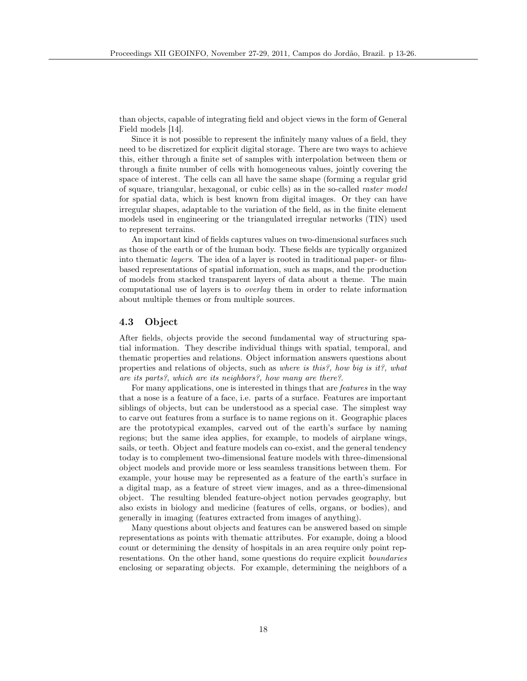than objects, capable of integrating field and object views in the form of General Field models [14].

Since it is not possible to represent the infinitely many values of a field, they need to be discretized for explicit digital storage. There are two ways to achieve this, either through a finite set of samples with interpolation between them or through a finite number of cells with homogeneous values, jointly covering the space of interest. The cells can all have the same shape (forming a regular grid of square, triangular, hexagonal, or cubic cells) as in the so-called *raster model* for spatial data, which is best known from digital images. Or they can have irregular shapes, adaptable to the variation of the field, as in the finite element models used in engineering or the triangulated irregular networks (TIN) used to represent terrains.

An important kind of fields captures values on two-dimensional surfaces such as those of the earth or of the human body. These fields are typically organized into thematic *layers*. The idea of a layer is rooted in traditional paper- or filmbased representations of spatial information, such as maps, and the production of models from stacked transparent layers of data about a theme. The main computational use of layers is to *overlay* them in order to relate information about multiple themes or from multiple sources.

#### 4.3 Object

After fields, objects provide the second fundamental way of structuring spatial information. They describe individual things with spatial, temporal, and thematic properties and relations. Object information answers questions about properties and relations of objects, such as *where is this?, how big is it?, what are its parts?*, *which are its neighbors?, how many are there?*.

For many applications, one is interested in things that are *features* in the way that a nose is a feature of a face, i.e. parts of a surface. Features are important siblings of objects, but can be understood as a special case. The simplest way to carve out features from a surface is to name regions on it. Geographic places are the prototypical examples, carved out of the earth's surface by naming regions; but the same idea applies, for example, to models of airplane wings, sails, or teeth. Object and feature models can co-exist, and the general tendency today is to complement two-dimensional feature models with three-dimensional object models and provide more or less seamless transitions between them. For example, your house may be represented as a feature of the earth's surface in a digital map, as a feature of street view images, and as a three-dimensional object. The resulting blended feature-object notion pervades geography, but also exists in biology and medicine (features of cells, organs, or bodies), and generally in imaging (features extracted from images of anything).

Many questions about objects and features can be answered based on simple representations as points with thematic attributes. For example, doing a blood count or determining the density of hospitals in an area require only point representations. On the other hand, some questions do require explicit *boundaries* enclosing or separating objects. For example, determining the neighbors of a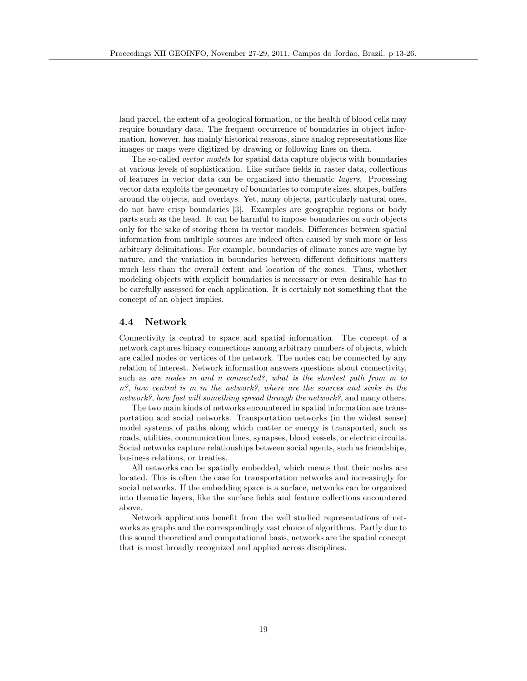land parcel, the extent of a geological formation, or the health of blood cells may require boundary data. The frequent occurrence of boundaries in object information, however, has mainly historical reasons, since analog representations like images or maps were digitized by drawing or following lines on them.

The so-called *vector models* for spatial data capture objects with boundaries at various levels of sophistication. Like surface fields in raster data, collections of features in vector data can be organized into thematic *layers*. Processing vector data exploits the geometry of boundaries to compute sizes, shapes, buffers around the objects, and overlays. Yet, many objects, particularly natural ones, do not have crisp boundaries [3]. Examples are geographic regions or body parts such as the head. It can be harmful to impose boundaries on such objects only for the sake of storing them in vector models. Differences between spatial information from multiple sources are indeed often caused by such more or less arbitrary delimitations. For example, boundaries of climate zones are vague by nature, and the variation in boundaries between different definitions matters much less than the overall extent and location of the zones. Thus, whether modeling objects with explicit boundaries is necessary or even desirable has to be carefully assessed for each application. It is certainly not something that the concept of an object implies.

#### 4.4 Network

Connectivity is central to space and spatial information. The concept of a network captures binary connections among arbitrary numbers of objects, which are called nodes or vertices of the network. The nodes can be connected by any relation of interest. Network information answers questions about connectivity, such as *are nodes m and n connected?*, *what is the shortest path from m to n?*, *how central is m in the network?*, *where are the sources and sinks in the network?*, *how fast will something spread through the network?*, and many others.

The two main kinds of networks encountered in spatial information are transportation and social networks. Transportation networks (in the widest sense) model systems of paths along which matter or energy is transported, such as roads, utilities, communication lines, synapses, blood vessels, or electric circuits. Social networks capture relationships between social agents, such as friendships, business relations, or treaties.

All networks can be spatially embedded, which means that their nodes are located. This is often the case for transportation networks and increasingly for social networks. If the embedding space is a surface, networks can be organized into thematic layers, like the surface fields and feature collections encountered above.

Network applications benefit from the well studied representations of networks as graphs and the correspondingly vast choice of algorithms. Partly due to this sound theoretical and computational basis, networks are the spatial concept that is most broadly recognized and applied across disciplines.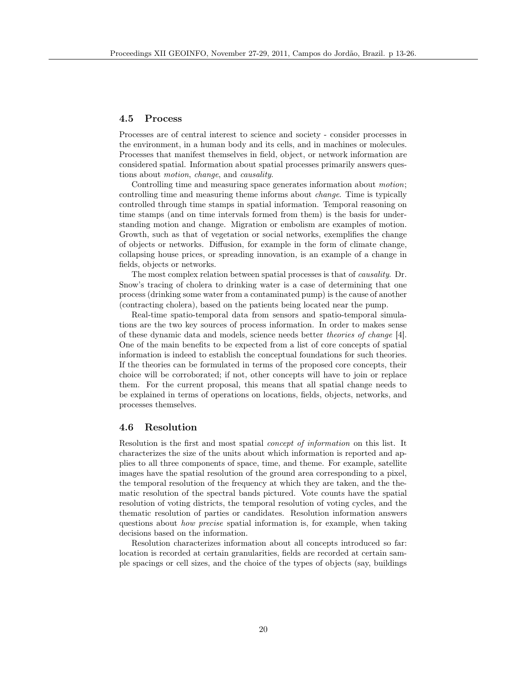#### 4.5 Process

Processes are of central interest to science and society - consider processes in the environment, in a human body and its cells, and in machines or molecules. Processes that manifest themselves in field, object, or network information are considered spatial. Information about spatial processes primarily answers questions about *motion*, *change*, and *causality*.

Controlling time and measuring space generates information about *motion*; controlling time and measuring theme informs about *change*. Time is typically controlled through time stamps in spatial information. Temporal reasoning on time stamps (and on time intervals formed from them) is the basis for understanding motion and change. Migration or embolism are examples of motion. Growth, such as that of vegetation or social networks, exemplifies the change of objects or networks. Diffusion, for example in the form of climate change, collapsing house prices, or spreading innovation, is an example of a change in fields, objects or networks.

The most complex relation between spatial processes is that of *causality*. Dr. Snow's tracing of cholera to drinking water is a case of determining that one process (drinking some water from a contaminated pump) is the cause of another (contracting cholera), based on the patients being located near the pump.

Real-time spatio-temporal data from sensors and spatio-temporal simulations are the two key sources of process information. In order to makes sense of these dynamic data and models, science needs better *theories of change* [4]. One of the main benefits to be expected from a list of core concepts of spatial information is indeed to establish the conceptual foundations for such theories. If the theories can be formulated in terms of the proposed core concepts, their choice will be corroborated; if not, other concepts will have to join or replace them. For the current proposal, this means that all spatial change needs to be explained in terms of operations on locations, fields, objects, networks, and processes themselves.

#### 4.6 Resolution

Resolution is the first and most spatial *concept of information* on this list. It characterizes the size of the units about which information is reported and applies to all three components of space, time, and theme. For example, satellite images have the spatial resolution of the ground area corresponding to a pixel, the temporal resolution of the frequency at which they are taken, and the thematic resolution of the spectral bands pictured. Vote counts have the spatial resolution of voting districts, the temporal resolution of voting cycles, and the thematic resolution of parties or candidates. Resolution information answers questions about *how precise* spatial information is, for example, when taking decisions based on the information.

Resolution characterizes information about all concepts introduced so far: location is recorded at certain granularities, fields are recorded at certain sample spacings or cell sizes, and the choice of the types of objects (say, buildings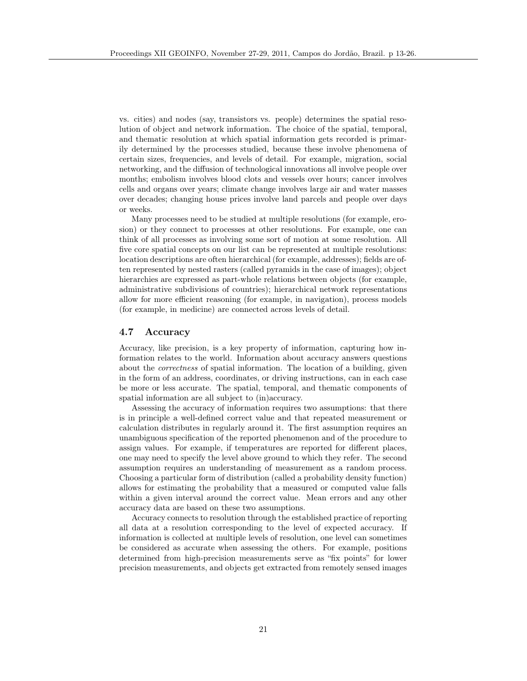vs. cities) and nodes (say, transistors vs. people) determines the spatial resolution of object and network information. The choice of the spatial, temporal, and thematic resolution at which spatial information gets recorded is primarily determined by the processes studied, because these involve phenomena of certain sizes, frequencies, and levels of detail. For example, migration, social networking, and the diffusion of technological innovations all involve people over months; embolism involves blood clots and vessels over hours; cancer involves cells and organs over years; climate change involves large air and water masses over decades; changing house prices involve land parcels and people over days or weeks.

Many processes need to be studied at multiple resolutions (for example, erosion) or they connect to processes at other resolutions. For example, one can think of all processes as involving some sort of motion at some resolution. All five core spatial concepts on our list can be represented at multiple resolutions: location descriptions are often hierarchical (for example, addresses); fields are often represented by nested rasters (called pyramids in the case of images); object hierarchies are expressed as part-whole relations between objects (for example, administrative subdivisions of countries); hierarchical network representations allow for more efficient reasoning (for example, in navigation), process models (for example, in medicine) are connected across levels of detail.

#### 4.7 Accuracy

Accuracy, like precision, is a key property of information, capturing how information relates to the world. Information about accuracy answers questions about the *correctness* of spatial information. The location of a building, given in the form of an address, coordinates, or driving instructions, can in each case be more or less accurate. The spatial, temporal, and thematic components of spatial information are all subject to (in)accuracy.

Assessing the accuracy of information requires two assumptions: that there is in principle a well-defined correct value and that repeated measurement or calculation distributes in regularly around it. The first assumption requires an unambiguous specification of the reported phenomenon and of the procedure to assign values. For example, if temperatures are reported for different places, one may need to specify the level above ground to which they refer. The second assumption requires an understanding of measurement as a random process. Choosing a particular form of distribution (called a probability density function) allows for estimating the probability that a measured or computed value falls within a given interval around the correct value. Mean errors and any other accuracy data are based on these two assumptions.

Accuracy connects to resolution through the established practice of reporting all data at a resolution corresponding to the level of expected accuracy. If information is collected at multiple levels of resolution, one level can sometimes be considered as accurate when assessing the others. For example, positions determined from high-precision measurements serve as "fix points" for lower precision measurements, and objects get extracted from remotely sensed images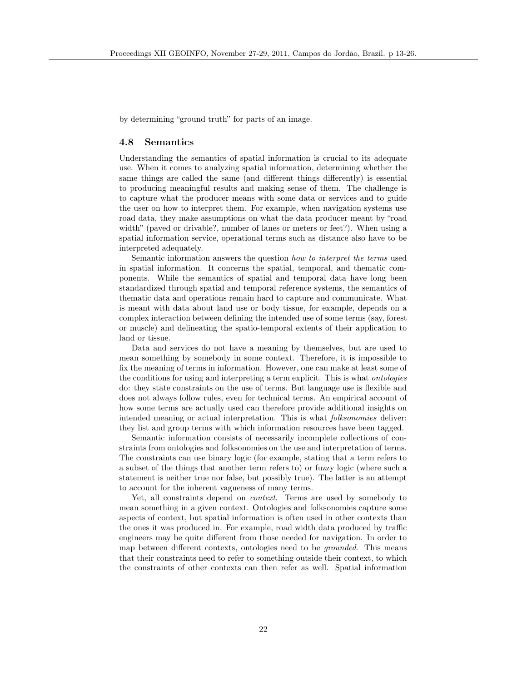by determining "ground truth" for parts of an image.

#### 4.8 Semantics

Understanding the semantics of spatial information is crucial to its adequate use. When it comes to analyzing spatial information, determining whether the same things are called the same (and different things differently) is essential to producing meaningful results and making sense of them. The challenge is to capture what the producer means with some data or services and to guide the user on how to interpret them. For example, when navigation systems use road data, they make assumptions on what the data producer meant by "road width" (paved or drivable?, number of lanes or meters or feet?). When using a spatial information service, operational terms such as distance also have to be interpreted adequately.

Semantic information answers the question *how to interpret the terms* used in spatial information. It concerns the spatial, temporal, and thematic components. While the semantics of spatial and temporal data have long been standardized through spatial and temporal reference systems, the semantics of thematic data and operations remain hard to capture and communicate. What is meant with data about land use or body tissue, for example, depends on a complex interaction between defining the intended use of some terms (say, forest or muscle) and delineating the spatio-temporal extents of their application to land or tissue.

Data and services do not have a meaning by themselves, but are used to mean something by somebody in some context. Therefore, it is impossible to fix the meaning of terms in information. However, one can make at least some of the conditions for using and interpreting a term explicit. This is what *ontologies* do: they state constraints on the use of terms. But language use is flexible and does not always follow rules, even for technical terms. An empirical account of how some terms are actually used can therefore provide additional insights on intended meaning or actual interpretation. This is what *folksonomies* deliver: they list and group terms with which information resources have been tagged.

Semantic information consists of necessarily incomplete collections of constraints from ontologies and folksonomies on the use and interpretation of terms. The constraints can use binary logic (for example, stating that a term refers to a subset of the things that another term refers to) or fuzzy logic (where such a statement is neither true nor false, but possibly true). The latter is an attempt to account for the inherent vagueness of many terms.

Yet, all constraints depend on *context*. Terms are used by somebody to mean something in a given context. Ontologies and folksonomies capture some aspects of context, but spatial information is often used in other contexts than the ones it was produced in. For example, road width data produced by traffic engineers may be quite different from those needed for navigation. In order to map between different contexts, ontologies need to be *grounded*. This means that their constraints need to refer to something outside their context, to which the constraints of other contexts can then refer as well. Spatial information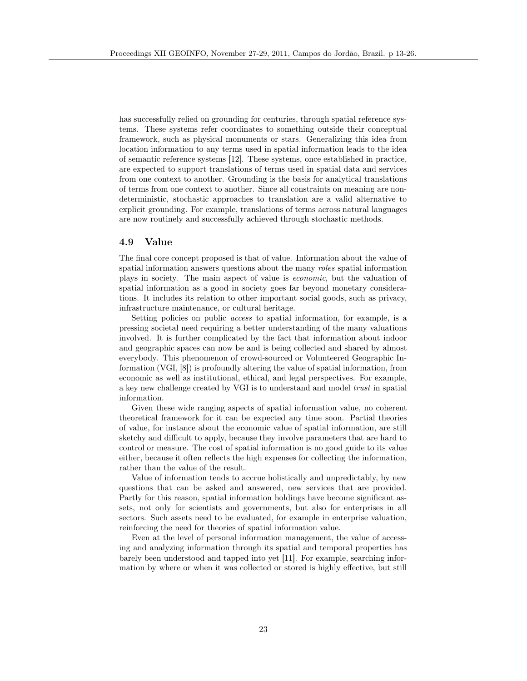has successfully relied on grounding for centuries, through spatial reference systems. These systems refer coordinates to something outside their conceptual framework, such as physical monuments or stars. Generalizing this idea from location information to any terms used in spatial information leads to the idea of semantic reference systems [12]. These systems, once established in practice, are expected to support translations of terms used in spatial data and services from one context to another. Grounding is the basis for analytical translations of terms from one context to another. Since all constraints on meaning are nondeterministic, stochastic approaches to translation are a valid alternative to explicit grounding. For example, translations of terms across natural languages are now routinely and successfully achieved through stochastic methods.

#### 4.9 Value

The final core concept proposed is that of value. Information about the value of spatial information answers questions about the many *roles* spatial information plays in society. The main aspect of value is *economic*, but the valuation of spatial information as a good in society goes far beyond monetary considerations. It includes its relation to other important social goods, such as privacy, infrastructure maintenance, or cultural heritage.

Setting policies on public *access* to spatial information, for example, is a pressing societal need requiring a better understanding of the many valuations involved. It is further complicated by the fact that information about indoor and geographic spaces can now be and is being collected and shared by almost everybody. This phenomenon of crowd-sourced or Volunteered Geographic Information (VGI, [8]) is profoundly altering the value of spatial information, from economic as well as institutional, ethical, and legal perspectives. For example, a key new challenge created by VGI is to understand and model *trust* in spatial information.

Given these wide ranging aspects of spatial information value, no coherent theoretical framework for it can be expected any time soon. Partial theories of value, for instance about the economic value of spatial information, are still sketchy and difficult to apply, because they involve parameters that are hard to control or measure. The cost of spatial information is no good guide to its value either, because it often reflects the high expenses for collecting the information, rather than the value of the result.

Value of information tends to accrue holistically and unpredictably, by new questions that can be asked and answered, new services that are provided. Partly for this reason, spatial information holdings have become significant assets, not only for scientists and governments, but also for enterprises in all sectors. Such assets need to be evaluated, for example in enterprise valuation, reinforcing the need for theories of spatial information value.

Even at the level of personal information management, the value of accessing and analyzing information through its spatial and temporal properties has barely been understood and tapped into yet [11]. For example, searching information by where or when it was collected or stored is highly effective, but still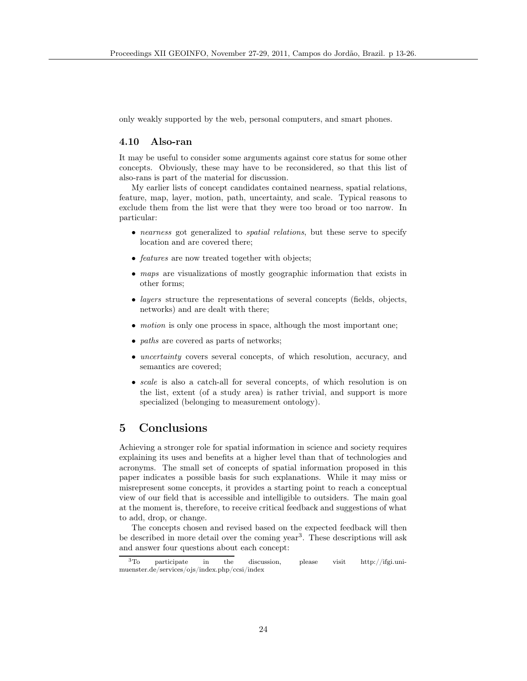only weakly supported by the web, personal computers, and smart phones.

### 4.10 Also-ran

It may be useful to consider some arguments against core status for some other concepts. Obviously, these may have to be reconsidered, so that this list of also-rans is part of the material for discussion.

My earlier lists of concept candidates contained nearness, spatial relations, feature, map, layer, motion, path, uncertainty, and scale. Typical reasons to exclude them from the list were that they were too broad or too narrow. In particular:

- *nearness* got generalized to *spatial relations*, but these serve to specify location and are covered there;
- *features* are now treated together with objects;
- *maps* are visualizations of mostly geographic information that exists in other forms;
- *layers* structure the representations of several concepts (fields, objects, networks) and are dealt with there;
- *motion* is only one process in space, although the most important one;
- *paths* are covered as parts of networks;
- *uncertainty* covers several concepts, of which resolution, accuracy, and semantics are covered;
- *scale* is also a catch-all for several concepts, of which resolution is on the list, extent (of a study area) is rather trivial, and support is more specialized (belonging to measurement ontology).

### 5 Conclusions

Achieving a stronger role for spatial information in science and society requires explaining its uses and benefits at a higher level than that of technologies and acronyms. The small set of concepts of spatial information proposed in this paper indicates a possible basis for such explanations. While it may miss or misrepresent some concepts, it provides a starting point to reach a conceptual view of our field that is accessible and intelligible to outsiders. The main goal at the moment is, therefore, to receive critical feedback and suggestions of what to add, drop, or change.

The concepts chosen and revised based on the expected feedback will then be described in more detail over the coming year<sup>3</sup>. These descriptions will ask and answer four questions about each concept:

<sup>3</sup>To participate in the discussion, please visit http://ifgi.unimuenster.de/services/ojs/index.php/ccsi/index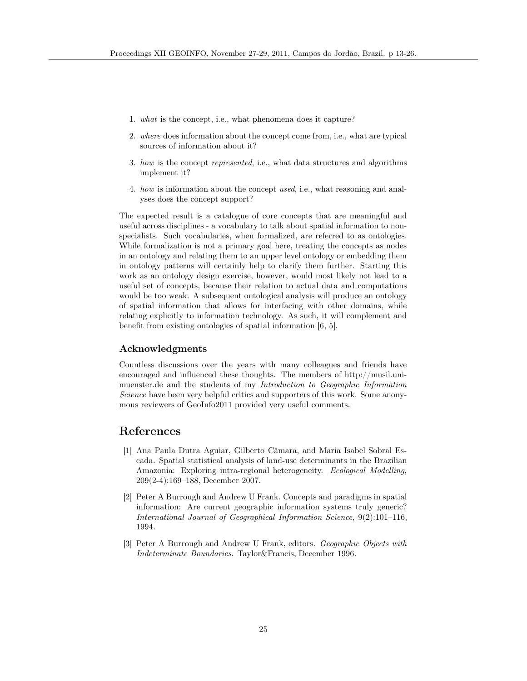- 1. *what* is the concept, i.e., what phenomena does it capture?
- 2. *where* does information about the concept come from, i.e., what are typical sources of information about it?
- 3. *how* is the concept *represented*, i.e., what data structures and algorithms implement it?
- 4. *how* is information about the concept *used*, i.e., what reasoning and analyses does the concept support?

The expected result is a catalogue of core concepts that are meaningful and useful across disciplines - a vocabulary to talk about spatial information to nonspecialists. Such vocabularies, when formalized, are referred to as ontologies. While formalization is not a primary goal here, treating the concepts as nodes in an ontology and relating them to an upper level ontology or embedding them in ontology patterns will certainly help to clarify them further. Starting this work as an ontology design exercise, however, would most likely not lead to a useful set of concepts, because their relation to actual data and computations would be too weak. A subsequent ontological analysis will produce an ontology of spatial information that allows for interfacing with other domains, while relating explicitly to information technology. As such, it will complement and benefit from existing ontologies of spatial information [6, 5].

### Acknowledgments

Countless discussions over the years with many colleagues and friends have encouraged and influenced these thoughts. The members of http://musil.unimuenster.de and the students of my *Introduction to Geographic Information Science* have been very helpful critics and supporters of this work. Some anonymous reviewers of GeoInfo2011 provided very useful comments.

### References

- [1] Ana Paula Dutra Aguiar, Gilberto Câmara, and Maria Isabel Sobral Escada. Spatial statistical analysis of land-use determinants in the Brazilian Amazonia: Exploring intra-regional heterogeneity. *Ecological Modelling*, 209(2-4):169–188, December 2007.
- [2] Peter A Burrough and Andrew U Frank. Concepts and paradigms in spatial information: Are current geographic information systems truly generic? *International Journal of Geographical Information Science*, 9(2):101–116, 1994.
- [3] Peter A Burrough and Andrew U Frank, editors. *Geographic Objects with Indeterminate Boundaries*. Taylor&Francis, December 1996.